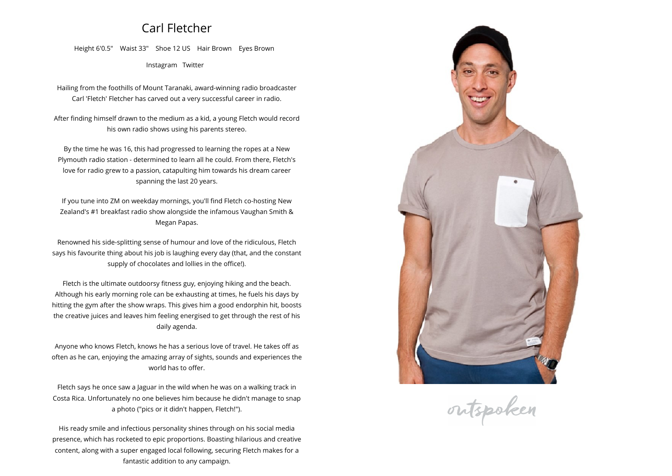## **Carl Fletcher**

**Height 6'0.5" Waist 33" Shoe <sup>12</sup> US Hair Brown Eyes Brown**

**[Instagram](https://www.instagram.com/fletchnz) [Twitter](https://twitter.com/carlfletcher)**

**Hailing from the foothills of Mount Taranaki, award-winning radio broadcaster Carl 'Fletch' Fletcher has carved out <sup>a</sup> very successful career in radio.**

**After finding himself drawn to the medium as <sup>a</sup> kid, <sup>a</sup> young Fletch would record his own radio shows using his parents stereo.**

**By the time he was 16, this had progressed to learning the ropes at <sup>a</sup> New Plymouth radio station - determined to learn all he could. From there, Fletch's love for radio grew to <sup>a</sup> passion, catapulting him towards his dream career spanning the last <sup>20</sup> years.**

**If you tune into ZM on weekday mornings, you'll find Fletch co-hosting New Zealand's #1 breakfast radio show alongside the infamous Vaughan Smith & Megan Papas.**

**Renowned his side-splitting sense of humour and love of the ridiculous, Fletch says his favourite thing about his job is laughing every day (that, and the constant supply of chocolates and lollies in the office!).**

**Fletch is the ultimate outdoorsy fitness guy, enjoying hiking and the beach. Although his early morning role can be exhausting at times, he fuels his days by hitting the gym after the show wraps. This <sup>g</sup>ives him <sup>a</sup> good endorphin hit, boosts the creative juices and leaves him feeling energised to get through the rest of his daily agenda.**

**Anyone who knows Fletch, knows he has <sup>a</sup> serious love of travel. He takes off as often as he can, enjoying the amazing array of sights, sounds and experiences the world has to offer.**

**Fletch says he once saw <sup>a</sup> Jaguar in the wild when he was on <sup>a</sup> walking track in Costa Rica. Unfortunately no one believes him because he didn't manage to snap a <sup>p</sup>hoto ("pics or it didn't happen, Fletch!").**

**His ready smile and infectious personality shines through on his social media presence, which has rocketed to epic proportions. Boasting hilarious and creative content, along with <sup>a</sup> super engaged local following, securing Fletch makes for <sup>a</sup> fantastic addition to any campaign.**



outspoken